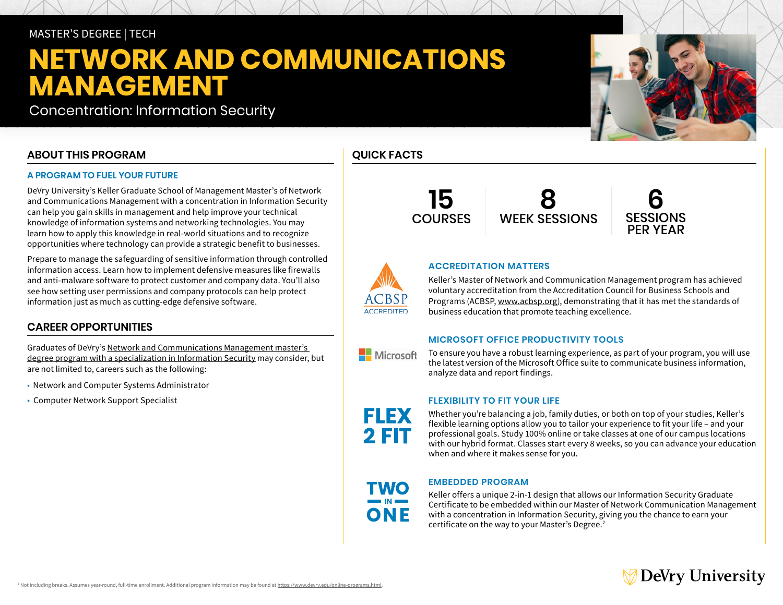## MASTER'S DEGREE | TECH

# **NETWORK AND COMMUNICATIONS MANAGEMENT**

Concentration: Information Security

## **ABOUT THIS PROGRAM**

### **A PROGRAM TO FUEL YOUR FUTURE**

DeVry University's Keller Graduate School of Management Master's of Network and Communications Management with a concentration in Information Security can help you gain skills in management and help improve your technical knowledge of information systems and networking technologies. You may learn how to apply this knowledge in real-world situations and to recognize opportunities where technology can provide a strategic benefit to businesses.

Prepare to manage the safeguarding of sensitive information through controlled information access. Learn how to implement defensive measures like firewalls and anti-malware software to protect customer and company data. You'll also see how setting user permissions and company protocols can help protect information just as much as cutting-edge defensive software.

## **CAREER OPPORTUNITIES**

Graduates of DeVry's [Network and Communications Management master's](https://www.devry.edu/online-programs/masters-degrees/network-and-communications-management.html)  [degree program with a specialization in Information Security](https://www.devry.edu/online-programs/masters-degrees/network-and-communications-management.html) may consider, but are not limited to, careers such as the following:

- Network and Computer Systems Administrator
- Computer Network Support Specialist

## **QUICK FACTS**

**ACCREDITED** 

Microsoft

FLEX

2 FIT

**15** COURSES

**8** WEEK SESSIONS



## **ACCREDITATION MATTERS**

Keller's Master of Network and Communication Management program has achieved voluntary accreditation from the Accreditation Council for Business Schools and Programs (ACBSP, [www.acbsp.org\)](https://www.acbsp.org), demonstrating that it has met the standards of business education that promote teaching excellence.

#### **MICROSOFT OFFICE PRODUCTIVITY TOOLS**

To ensure you have a robust learning experience, as part of your program, you will use the latest version of the Microsoft Office suite to communicate business information, analyze data and report findings.

#### **FLEXIBILITY TO FIT YOUR LIFE**

Whether you're balancing a job, family duties, or both on top of your studies, Keller's flexible learning options allow you to tailor your experience to fit your life – and your professional goals. Study 100% online or take classes at one of our campus locations with our hybrid format. Classes start every 8 weeks, so you can advance your education when and where it makes sense for you.

ONF

#### **EMBEDDED PROGRAM**

Keller offers a unique 2-in-1 design that allows our Information Security Graduate Certificate to be embedded within our Master of Network Communication Management with a concentration in Information Security, giving you the chance to earn your certificate on the way to your Master's Degree.2

## ∕ DeVry University